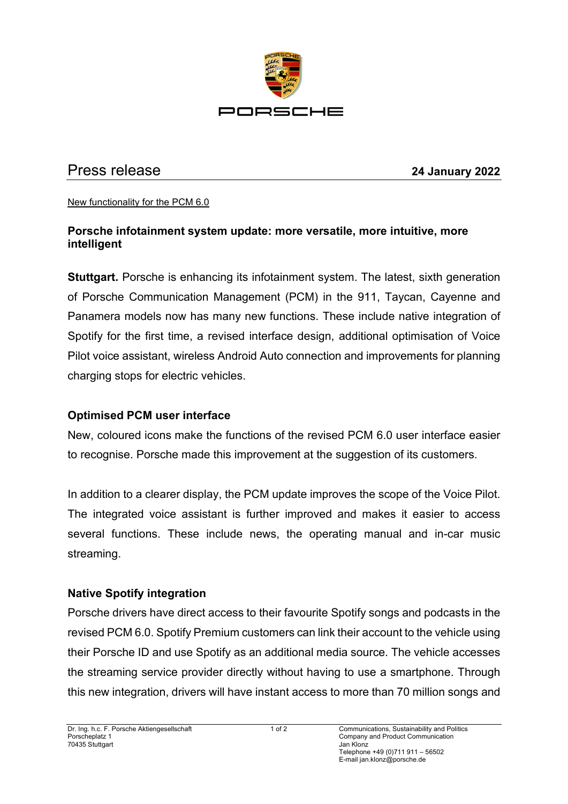

# Press release **24 January 2022**

#### New functionality for the PCM 6.0

# **Porsche infotainment system update: more versatile, more intuitive, more intelligent**

**Stuttgart.** Porsche is enhancing its infotainment system. The latest, sixth generation of Porsche Communication Management (PCM) in the 911, Taycan, Cayenne and Panamera models now has many new functions. These include native integration of Spotify for the first time, a revised interface design, additional optimisation of Voice Pilot voice assistant, wireless Android Auto connection and improvements for planning charging stops for electric vehicles.

### **Optimised PCM user interface**

New, coloured icons make the functions of the revised PCM 6.0 user interface easier to recognise. Porsche made this improvement at the suggestion of its customers.

In addition to a clearer display, the PCM update improves the scope of the Voice Pilot. The integrated voice assistant is further improved and makes it easier to access several functions. These include news, the operating manual and in-car music streaming.

### **Native Spotify integration**

Porsche drivers have direct access to their favourite Spotify songs and podcasts in the revised PCM 6.0. Spotify Premium customers can link their account to the vehicle using their Porsche ID and use Spotify as an additional media source. The vehicle accesses the streaming service provider directly without having to use a smartphone. Through this new integration, drivers will have instant access to more than 70 million songs and